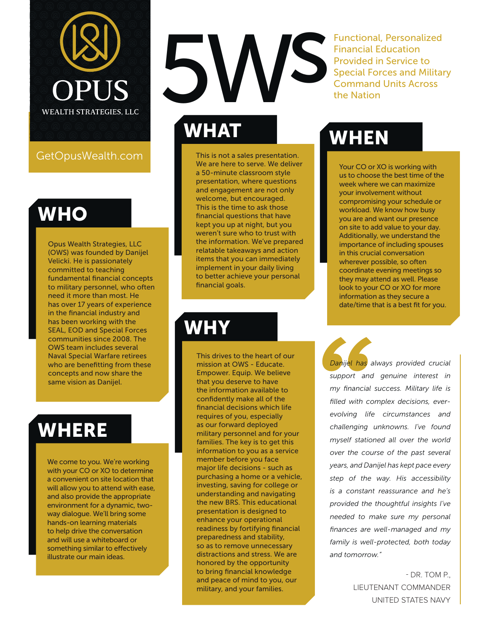

GetOpusWealth.com

#### WHO

Opus Wealth Strategies, LLC (OWS) was founded by Danijel Velicki. He is passionately committed to teaching fundamental financial concepts to military personnel, who often need it more than most. He has over 17 years of experience in the financial industry and has been working with the SEAL, EOD and Special Forces communities since 2008. The OWS team includes several Naval Special Warfare retirees who are benefitting from these concepts and now share the same vision as Danijel.

### WHERE

We come to you. We're working with your CO or XO to determine a convenient on site location that will allow you to attend with ease, and also provide the appropriate environment for a dynamic, twoway dialogue. We'll bring some hands-on learning materials to help drive the conversation and will use a whiteboard or something similar to effectively illustrate our main ideas.

# WHAT 5Ws

This is not a sales presentation. We are here to serve. We deliver a 50-minute classroom style presentation, where questions and engagement are not only welcome, but encouraged. This is the time to ask those financial questions that have kept you up at night, but you weren't sure who to trust with the information. We've prepared relatable takeaways and action items that you can immediately implement in your daily living to better achieve your personal financial goals.

### WHY

This drives to the heart of our mission at OWS - Educate. Empower. Equip. We believe that you deserve to have the information available to confidently make all of the financial decisions which life requires of you, especially as our forward deployed military personnel and for your families. The key is to get this information to you as a service member before you face major life decisions - such as purchasing a home or a vehicle, investing, saving for college or understanding and navigating the new BRS. This educational presentation is designed to enhance your operational readiness by fortifying financial preparedness and stability, so as to remove unnecessary distractions and stress. We are honored by the opportunity to bring financial knowledge and peace of mind to you, our military, and your families.

Functional, Personalized Financial Education Provided in Service to Special Forces and Military Command Units Across the Nation

## WHEN

Your CO or XO is working with us to choose the best time of the week where we can maximize your involvement without compromising your schedule or workload. We know how busy you are and want our presence on site to add value to your day. Additionally, we understand the importance of including spouses in this crucial conversation wherever possible, so often coordinate evening meetings so they may attend as well. Please look to your CO or XO for more information as they secure a date/time that is a best fit for you.

*Danijel has always provided crucial support and genuine interest in my financial success. Military life is filled with complex decisions, everevolving life circumstances and challenging unknowns. I've found myself stationed all over the world over the course of the past several years, and Danijel has kept pace every step of the way. His accessibility is a constant reassurance and he's provided the thoughtful insights I've needed to make sure my personal finances are well-managed and my family is well-protected, both today and tomorrow."*

> - DR. TOM P., LIEUTENANT COMMANDER UNITED STATES NAVY